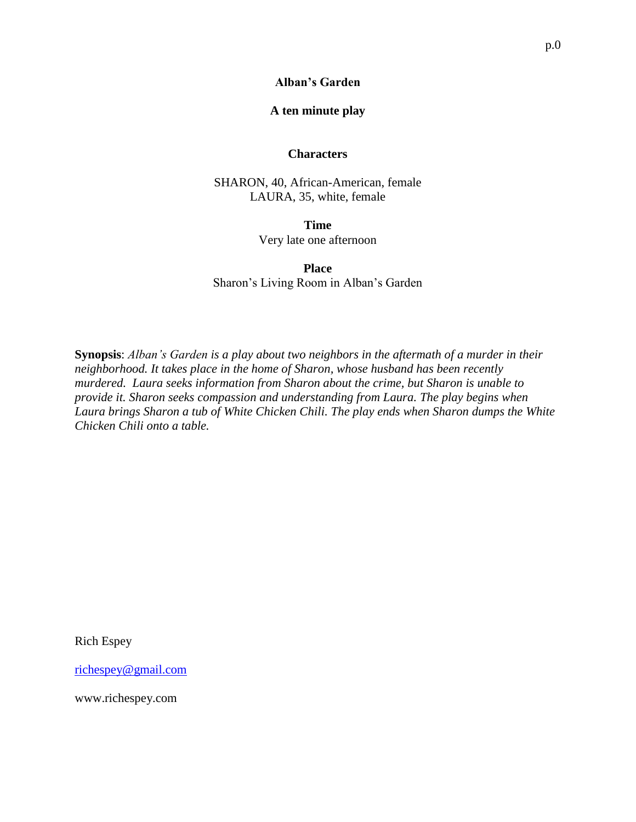### **A ten minute play**

#### **Characters**

SHARON, 40, African-American, female LAURA, 35, white, female

> **Time** Very late one afternoon

**Place** Sharon's Living Room in Alban's Garden

**Synopsis**: *Alban's Garden is a play about two neighbors in the aftermath of a murder in their neighborhood. It takes place in the home of Sharon, whose husband has been recently murdered. Laura seeks information from Sharon about the crime, but Sharon is unable to provide it. Sharon seeks compassion and understanding from Laura. The play begins when Laura brings Sharon a tub of White Chicken Chili. The play ends when Sharon dumps the White Chicken Chili onto a table.*

Rich Espey

[richespey@gmail.com](mailto:richespey@gmail.com)

www.richespey.com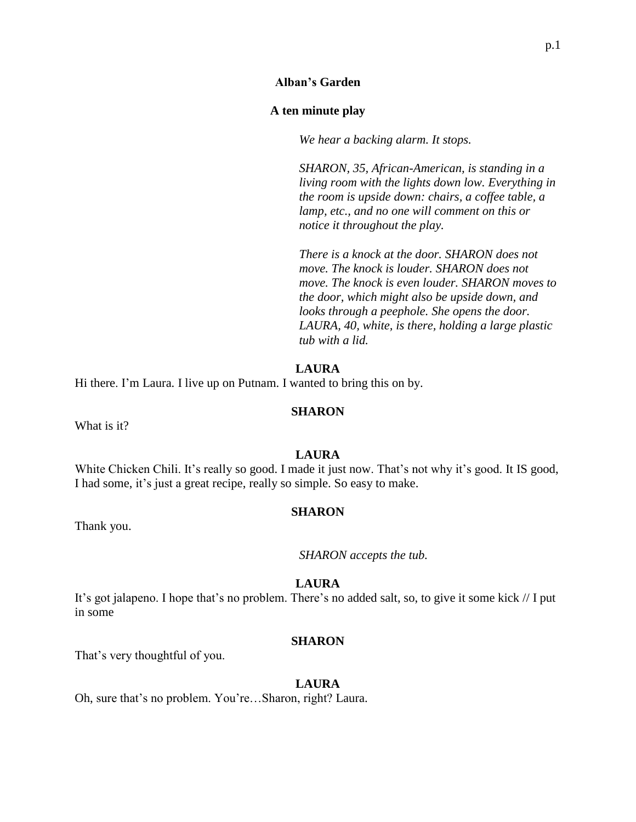### **Alban's Garden**

### **A ten minute play**

*We hear a backing alarm. It stops.*

*SHARON, 35, African-American, is standing in a living room with the lights down low. Everything in the room is upside down: chairs, a coffee table, a lamp, etc., and no one will comment on this or notice it throughout the play.*

*There is a knock at the door. SHARON does not move. The knock is louder. SHARON does not move. The knock is even louder. SHARON moves to the door, which might also be upside down, and looks through a peephole. She opens the door. LAURA, 40, white, is there, holding a large plastic tub with a lid.*

### **LAURA**

Hi there. I'm Laura. I live up on Putnam. I wanted to bring this on by.

#### **SHARON**

What is it?

#### **LAURA**

White Chicken Chili. It's really so good. I made it just now. That's not why it's good. It IS good, I had some, it's just a great recipe, really so simple. So easy to make.

#### **SHARON**

Thank you.

*SHARON accepts the tub.*

### **LAURA**

It's got jalapeno. I hope that's no problem. There's no added salt, so, to give it some kick // I put in some

### **SHARON**

That's very thoughtful of you.

#### **LAURA**

Oh, sure that's no problem. You're…Sharon, right? Laura.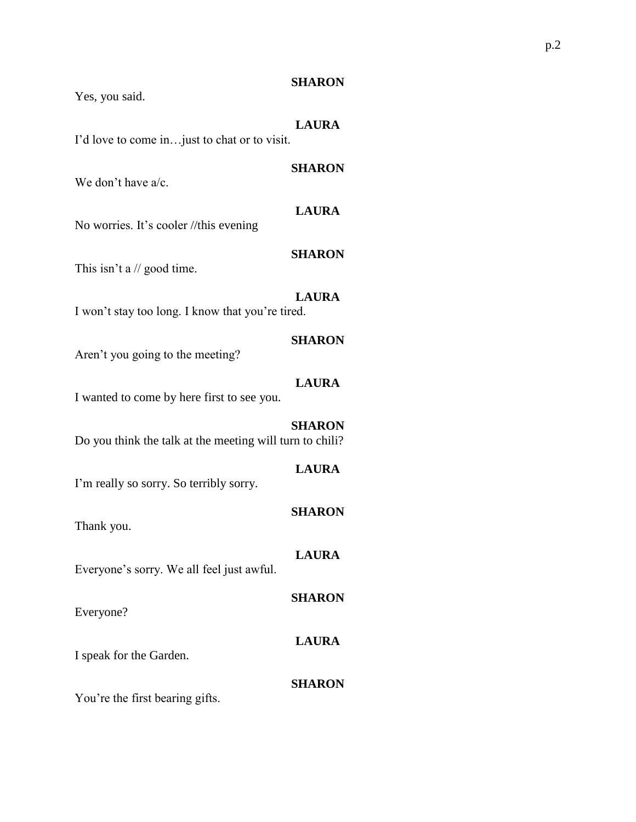Yes, you said.

## **LAURA**

**SHARON**

I'd love to come in…just to chat or to visit.

We don't have a/c.

# **LAURA**

No worries. It's cooler //this evening

# **SHARON**

This isn't a // good time.

# **LAURA**

I won't stay too long. I know that you're tired.

## **SHARON**

Aren't you going to the meeting?

## **LAURA**

I wanted to come by here first to see you.

# **SHARON**

Do you think the talk at the meeting will turn to chili?

## **LAURA**

I'm really so sorry. So terribly sorry.

## **SHARON**

**SHARON**

**LAURA**

Thank you.

# **LAURA**

Everyone's sorry. We all feel just awful.

Everyone?

I speak for the Garden.

# **SHARON**

You're the first bearing gifts.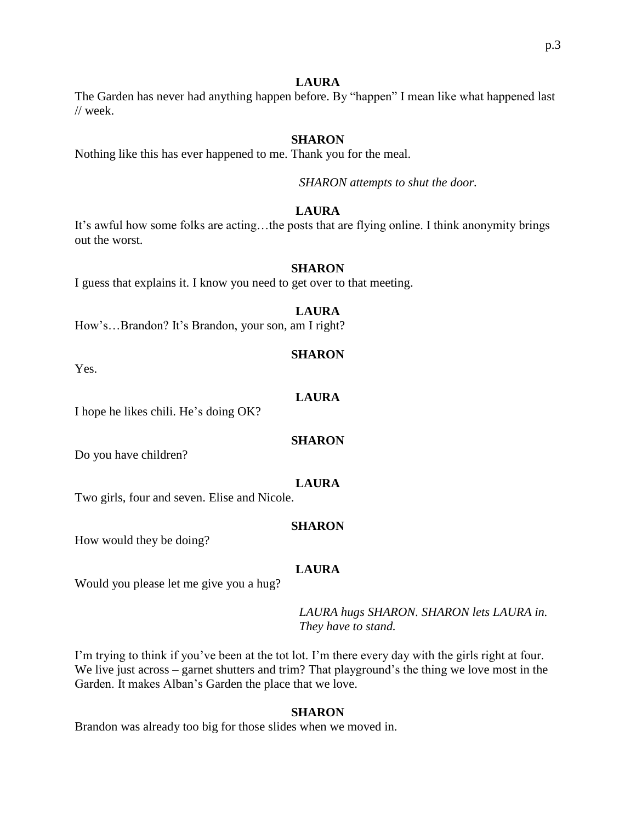## **LAURA**

The Garden has never had anything happen before. By "happen" I mean like what happened last // week.

# **SHARON**

Nothing like this has ever happened to me. Thank you for the meal.

*SHARON attempts to shut the door.*

# **LAURA**

It's awful how some folks are acting…the posts that are flying online. I think anonymity brings out the worst.

## **SHARON**

I guess that explains it. I know you need to get over to that meeting.

# **LAURA**

How's…Brandon? It's Brandon, your son, am I right?

### **SHARON**

Yes.

## **LAURA**

I hope he likes chili. He's doing OK?

## **SHARON**

Do you have children?

## **LAURA**

Two girls, four and seven. Elise and Nicole.

## **SHARON**

How would they be doing?

## **LAURA**

Would you please let me give you a hug?

*LAURA hugs SHARON. SHARON lets LAURA in. They have to stand.*

I'm trying to think if you've been at the tot lot. I'm there every day with the girls right at four. We live just across – garnet shutters and trim? That playground's the thing we love most in the Garden. It makes Alban's Garden the place that we love.

## **SHARON**

Brandon was already too big for those slides when we moved in.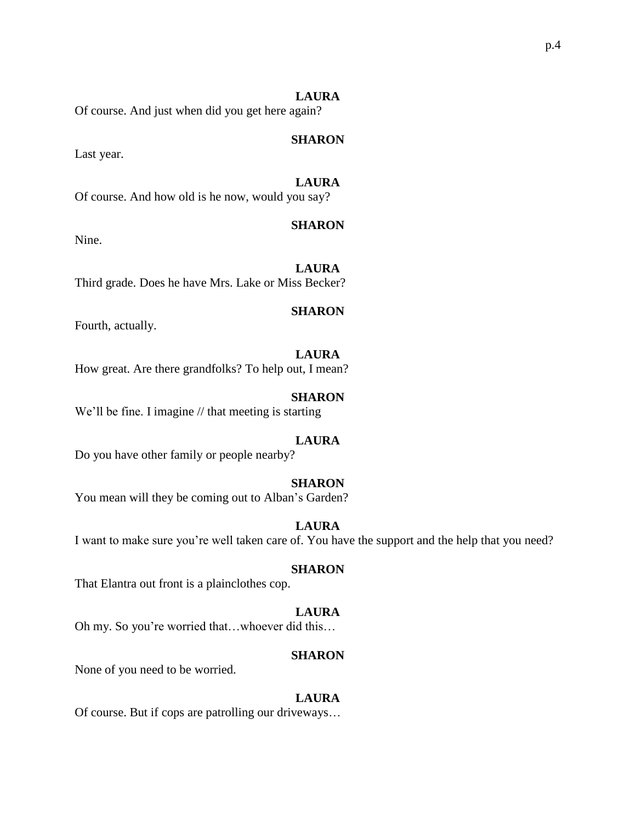### **LAURA**

Of course. And just when did you get here again?

### **SHARON**

Last year.

# **LAURA**

Of course. And how old is he now, would you say?

## **SHARON**

Nine.

# **LAURA**

Third grade. Does he have Mrs. Lake or Miss Becker?

### **SHARON**

Fourth, actually.

## **LAURA**

How great. Are there grandfolks? To help out, I mean?

### **SHARON**

We'll be fine. I imagine // that meeting is starting

## **LAURA**

Do you have other family or people nearby?

### **SHARON**

You mean will they be coming out to Alban's Garden?

### **LAURA**

I want to make sure you're well taken care of. You have the support and the help that you need?

#### **SHARON**

That Elantra out front is a plainclothes cop.

### **LAURA**

Oh my. So you're worried that…whoever did this…

#### **SHARON**

None of you need to be worried.

#### **LAURA**

Of course. But if cops are patrolling our driveways…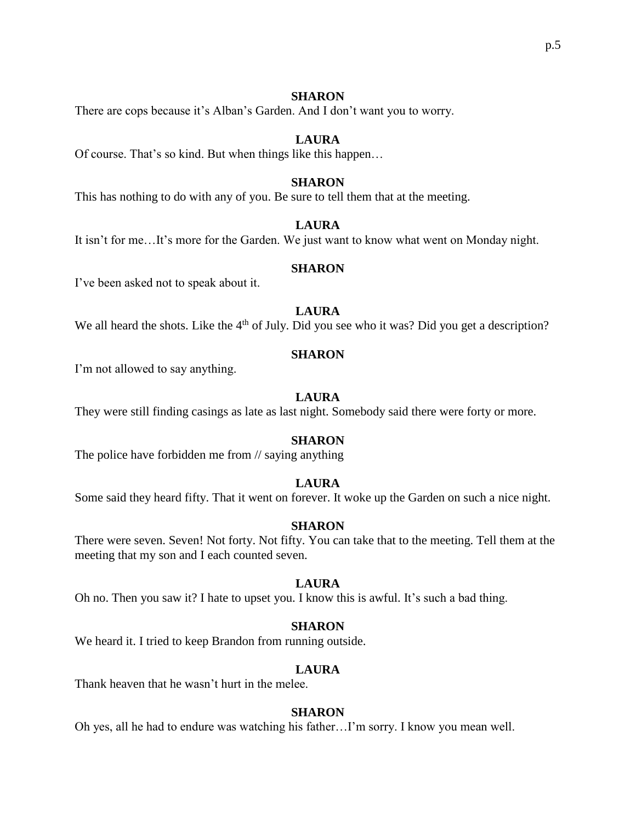There are cops because it's Alban's Garden. And I don't want you to worry.

## **LAURA**

Of course. That's so kind. But when things like this happen…

## **SHARON**

This has nothing to do with any of you. Be sure to tell them that at the meeting.

## **LAURA**

It isn't for me…It's more for the Garden. We just want to know what went on Monday night.

### **SHARON**

I've been asked not to speak about it.

# **LAURA**

We all heard the shots. Like the  $4<sup>th</sup>$  of July. Did you see who it was? Did you get a description?

### **SHARON**

I'm not allowed to say anything.

## **LAURA**

They were still finding casings as late as last night. Somebody said there were forty or more.

### **SHARON**

The police have forbidden me from // saying anything

## **LAURA**

Some said they heard fifty. That it went on forever. It woke up the Garden on such a nice night.

### **SHARON**

There were seven. Seven! Not forty. Not fifty. You can take that to the meeting. Tell them at the meeting that my son and I each counted seven.

### **LAURA**

Oh no. Then you saw it? I hate to upset you. I know this is awful. It's such a bad thing.

## **SHARON**

We heard it. I tried to keep Brandon from running outside.

## **LAURA**

Thank heaven that he wasn't hurt in the melee.

### **SHARON**

Oh yes, all he had to endure was watching his father…I'm sorry. I know you mean well.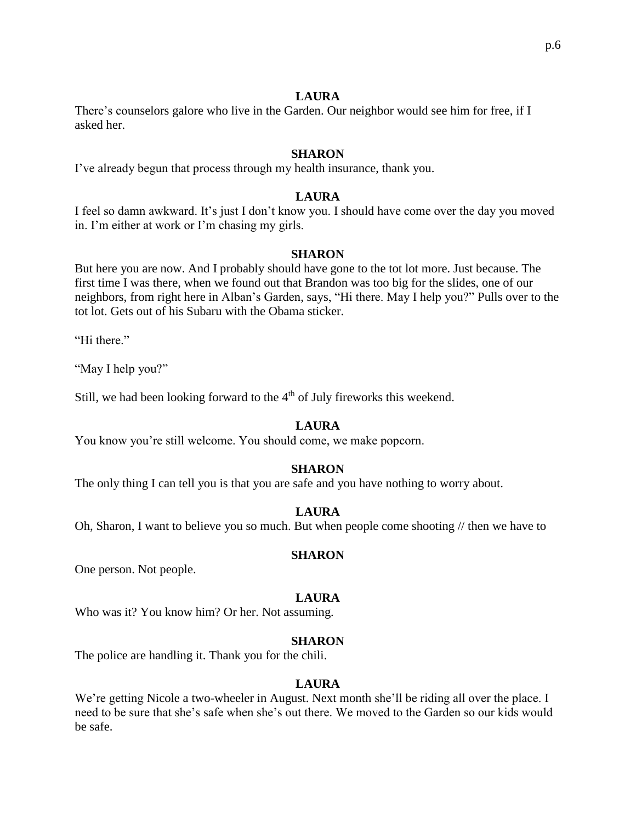## **LAURA**

There's counselors galore who live in the Garden. Our neighbor would see him for free, if I asked her.

### **SHARON**

I've already begun that process through my health insurance, thank you.

### **LAURA**

I feel so damn awkward. It's just I don't know you. I should have come over the day you moved in. I'm either at work or I'm chasing my girls.

#### **SHARON**

But here you are now. And I probably should have gone to the tot lot more. Just because. The first time I was there, when we found out that Brandon was too big for the slides, one of our neighbors, from right here in Alban's Garden, says, "Hi there. May I help you?" Pulls over to the tot lot. Gets out of his Subaru with the Obama sticker.

"Hi there."

"May I help you?"

Still, we had been looking forward to the  $4<sup>th</sup>$  of July fireworks this weekend.

## **LAURA**

You know you're still welcome. You should come, we make popcorn.

#### **SHARON**

The only thing I can tell you is that you are safe and you have nothing to worry about.

#### **LAURA**

Oh, Sharon, I want to believe you so much. But when people come shooting // then we have to

#### **SHARON**

One person. Not people.

#### **LAURA**

Who was it? You know him? Or her. Not assuming.

#### **SHARON**

The police are handling it. Thank you for the chili.

### **LAURA**

We're getting Nicole a two-wheeler in August. Next month she'll be riding all over the place. I need to be sure that she's safe when she's out there. We moved to the Garden so our kids would be safe.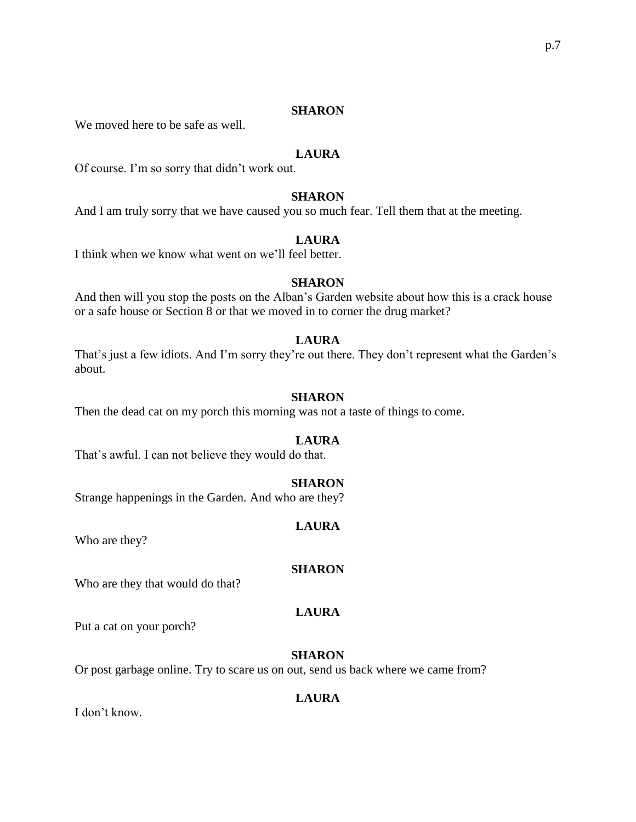We moved here to be safe as well.

## **LAURA**

Of course. I'm so sorry that didn't work out.

### **SHARON**

And I am truly sorry that we have caused you so much fear. Tell them that at the meeting.

# **LAURA**

I think when we know what went on we'll feel better.

#### **SHARON**

And then will you stop the posts on the Alban's Garden website about how this is a crack house or a safe house or Section 8 or that we moved in to corner the drug market?

### **LAURA**

That's just a few idiots. And I'm sorry they're out there. They don't represent what the Garden's about.

### **SHARON**

Then the dead cat on my porch this morning was not a taste of things to come.

### **LAURA**

That's awful. I can not believe they would do that.

#### **SHARON**

Strange happenings in the Garden. And who are they?

#### **LAURA**

Who are they?

#### **SHARON**

Who are they that would do that?

### **LAURA**

Put a cat on your porch?

#### **SHARON**

Or post garbage online. Try to scare us on out, send us back where we came from?

### **LAURA**

I don't know.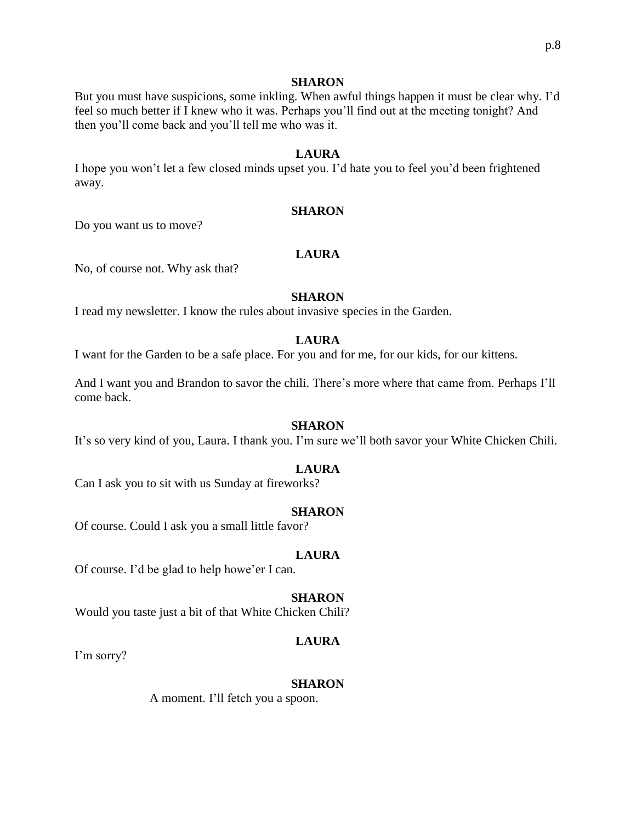But you must have suspicions, some inkling. When awful things happen it must be clear why. I'd feel so much better if I knew who it was. Perhaps you'll find out at the meeting tonight? And then you'll come back and you'll tell me who was it.

### **LAURA**

I hope you won't let a few closed minds upset you. I'd hate you to feel you'd been frightened away.

#### **SHARON**

Do you want us to move?

### **LAURA**

No, of course not. Why ask that?

### **SHARON**

I read my newsletter. I know the rules about invasive species in the Garden.

#### **LAURA**

I want for the Garden to be a safe place. For you and for me, for our kids, for our kittens.

And I want you and Brandon to savor the chili. There's more where that came from. Perhaps I'll come back.

#### **SHARON**

It's so very kind of you, Laura. I thank you. I'm sure we'll both savor your White Chicken Chili.

### **LAURA**

Can I ask you to sit with us Sunday at fireworks?

#### **SHARON**

Of course. Could I ask you a small little favor?

#### **LAURA**

Of course. I'd be glad to help howe'er I can.

#### **SHARON**

Would you taste just a bit of that White Chicken Chili?

#### **LAURA**

I'm sorry?

#### **SHARON**

A moment. I'll fetch you a spoon.